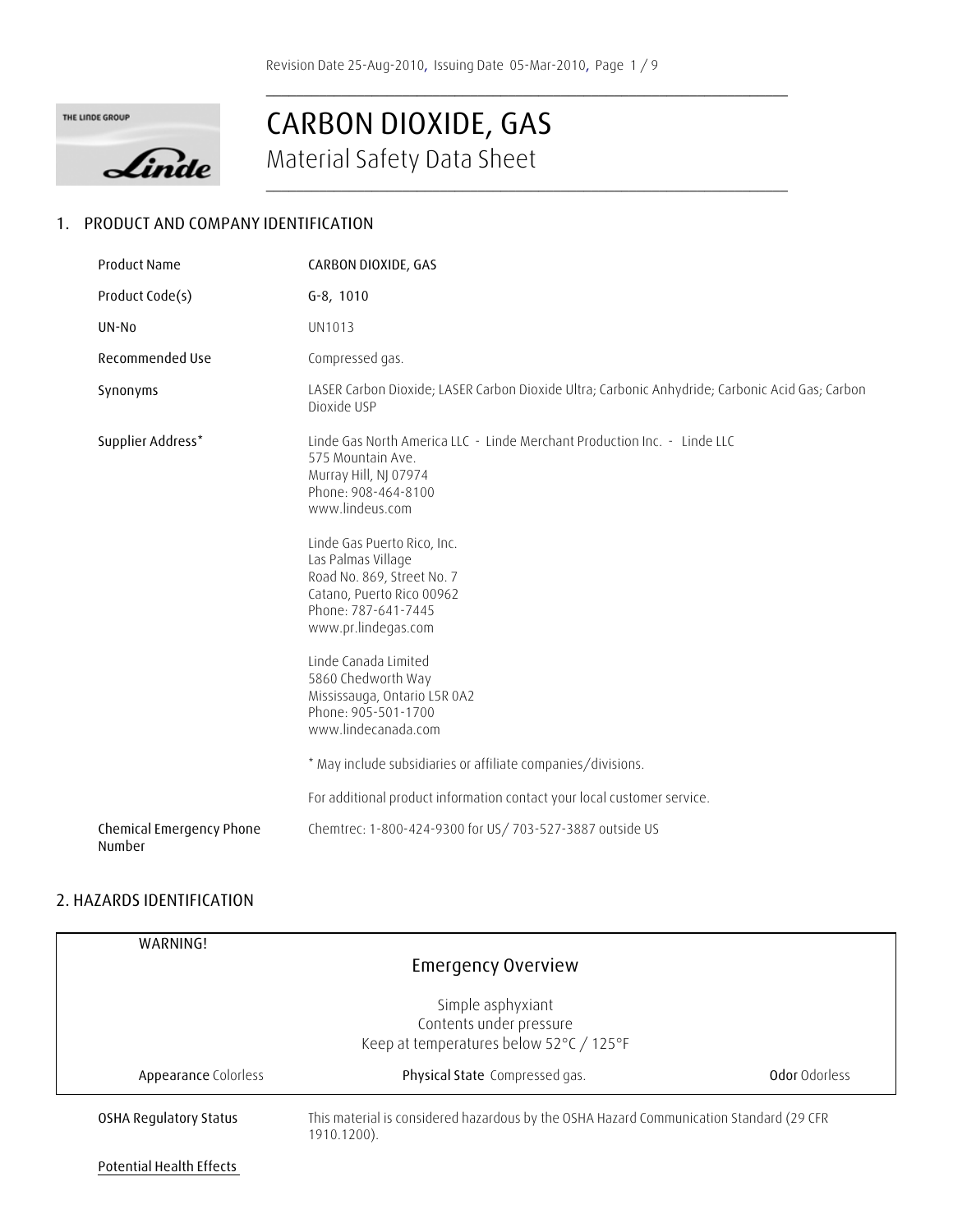**\_\_\_\_\_\_\_\_\_\_\_\_\_\_\_\_\_\_\_\_\_\_\_\_\_\_\_\_\_\_\_\_\_\_\_\_\_\_\_\_\_\_\_\_\_\_\_\_\_\_\_\_\_\_\_\_\_\_\_\_\_\_\_\_\_\_\_\_\_** 





# Material Safety Data Sheet **CARBON DIOXIDE, GAS**

### **1. PRODUCT AND COMPANY IDENTIFICATION**

| <b>Product Name</b>                | CARBON DIOXIDE, GAS                                                                                                                                                                                                                                                                                                                                                                                                                                                                                                        |
|------------------------------------|----------------------------------------------------------------------------------------------------------------------------------------------------------------------------------------------------------------------------------------------------------------------------------------------------------------------------------------------------------------------------------------------------------------------------------------------------------------------------------------------------------------------------|
| Product Code(s)                    | $G-8$ , 1010                                                                                                                                                                                                                                                                                                                                                                                                                                                                                                               |
| UN-No                              | UN1013                                                                                                                                                                                                                                                                                                                                                                                                                                                                                                                     |
| Recommended Use                    | Compressed gas.                                                                                                                                                                                                                                                                                                                                                                                                                                                                                                            |
| Synonyms                           | LASER Carbon Dioxide; LASER Carbon Dioxide Ultra; Carbonic Anhydride; Carbonic Acid Gas; Carbon<br>Dioxide USP                                                                                                                                                                                                                                                                                                                                                                                                             |
| Supplier Address*                  | Linde Gas North America LLC - Linde Merchant Production Inc. - Linde LLC<br>575 Mountain Ave.<br>Murray Hill, NJ 07974<br>Phone: 908-464-8100<br>www.lindeus.com<br>Linde Gas Puerto Rico, Inc.<br>Las Palmas Village<br>Road No. 869, Street No. 7<br>Catano, Puerto Rico 00962<br>Phone: 787-641-7445<br>www.pr.lindegas.com<br>Linde Canada Limited<br>5860 Chedworth Way<br>Mississauga, Ontario L5R 0A2<br>Phone: 905-501-1700<br>www.lindecanada.com<br>* May include subsidiaries or affiliate companies/divisions. |
|                                    | For additional product information contact your local customer service.                                                                                                                                                                                                                                                                                                                                                                                                                                                    |
| Chemical Emergency Phone<br>Number | Chemtrec: 1-800-424-9300 for US/ 703-527-3887 outside US                                                                                                                                                                                                                                                                                                                                                                                                                                                                   |

### **2. HAZARDS IDENTIFICATION**

| WARNING!                        |                                                                                                        |               |
|---------------------------------|--------------------------------------------------------------------------------------------------------|---------------|
|                                 | <b>Emergency Overview</b>                                                                              |               |
|                                 | Simple asphyxiant<br>Contents under pressure<br>Keep at temperatures below 52°C / 125°F                |               |
| Appearance Colorless            | Physical State Compressed gas.                                                                         | Odor Odorless |
| <b>OSHA Regulatory Status</b>   | This material is considered hazardous by the OSHA Hazard Communication Standard (29 CFR<br>1910.1200). |               |
| <b>Potential Health Effects</b> |                                                                                                        |               |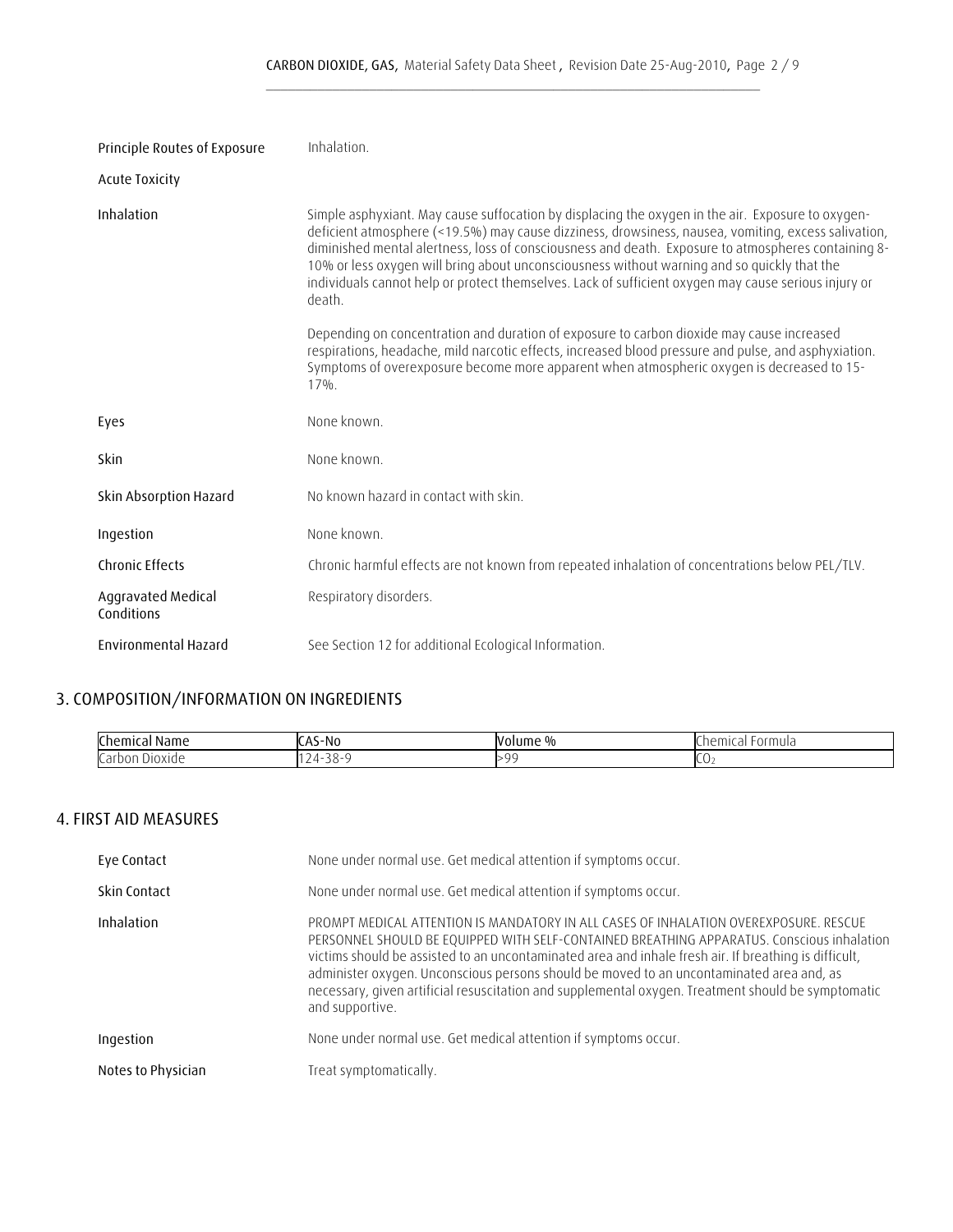| Principle Routes of Exposure     | Inhalation.                                                                                                                                                                                                                                                                                                                                                                                                                                                                                                                      |
|----------------------------------|----------------------------------------------------------------------------------------------------------------------------------------------------------------------------------------------------------------------------------------------------------------------------------------------------------------------------------------------------------------------------------------------------------------------------------------------------------------------------------------------------------------------------------|
| <b>Acute Toxicity</b>            |                                                                                                                                                                                                                                                                                                                                                                                                                                                                                                                                  |
| Inhalation                       | Simple asphyxiant. May cause suffocation by displacing the oxygen in the air. Exposure to oxygen-<br>deficient atmosphere (<19.5%) may cause dizziness, drowsiness, nausea, vomiting, excess salivation,<br>diminished mental alertness, loss of consciousness and death. Exposure to atmospheres containing 8-<br>10% or less oxygen will bring about unconsciousness without warning and so quickly that the<br>individuals cannot help or protect themselves. Lack of sufficient oxygen may cause serious injury or<br>death. |
|                                  | Depending on concentration and duration of exposure to carbon dioxide may cause increased<br>respirations, headache, mild narcotic effects, increased blood pressure and pulse, and asphyxiation.<br>Symptoms of overexposure become more apparent when atmospheric oxygen is decreased to 15-<br>$17\%$ .                                                                                                                                                                                                                       |
| Eyes                             | None known.                                                                                                                                                                                                                                                                                                                                                                                                                                                                                                                      |
| Skin                             | None known.                                                                                                                                                                                                                                                                                                                                                                                                                                                                                                                      |
| Skin Absorption Hazard           | No known hazard in contact with skin.                                                                                                                                                                                                                                                                                                                                                                                                                                                                                            |
| Ingestion                        | None known.                                                                                                                                                                                                                                                                                                                                                                                                                                                                                                                      |
| <b>Chronic Effects</b>           | Chronic harmful effects are not known from repeated inhalation of concentrations below PEL/TLV.                                                                                                                                                                                                                                                                                                                                                                                                                                  |
| Aggravated Medical<br>Conditions | Respiratory disorders.                                                                                                                                                                                                                                                                                                                                                                                                                                                                                                           |
| Environmental Hazard             | See Section 12 for additional Ecological Information.                                                                                                                                                                                                                                                                                                                                                                                                                                                                            |

## **3. COMPOSITION/INFORMATION ON INGREDIENTS**

| Chem<br>: Name                | NI/<br>าเ        | . 0/<br>w. | $\sim$ $\sim$ $\sim$<br>$\sim$ $\sim$<br>ormura<br>$\Box$<br>∶ اا،<br>. |
|-------------------------------|------------------|------------|-------------------------------------------------------------------------|
| Carb<br>Jioxide<br>، ں ب<br>. | $\cdot$ .<br>___ | >9C        | יג                                                                      |

### **4. FIRST AID MEASURES**

| Eye Contact        | None under normal use. Get medical attention if symptoms occur.                                                                                                                                                                                                                                                                                                                                                                                                                                                   |  |
|--------------------|-------------------------------------------------------------------------------------------------------------------------------------------------------------------------------------------------------------------------------------------------------------------------------------------------------------------------------------------------------------------------------------------------------------------------------------------------------------------------------------------------------------------|--|
| Skin Contact       | None under normal use. Get medical attention if symptoms occur.                                                                                                                                                                                                                                                                                                                                                                                                                                                   |  |
| Inhalation         | PROMPT MEDICAL ATTENTION IS MANDATORY IN ALL CASES OF INHALATION OVEREXPOSURE. RESCUE<br>PERSONNEL SHOULD BE EQUIPPED WITH SELF-CONTAINED BREATHING APPARATUS. Conscious inhalation<br>victims should be assisted to an uncontaminated area and inhale fresh air. If breathing is difficult,<br>administer oxygen. Unconscious persons should be moved to an uncontaminated area and, as<br>necessary, given artificial resuscitation and supplemental oxygen. Treatment should be symptomatic<br>and supportive. |  |
| Ingestion          | None under normal use. Get medical attention if symptoms occur.                                                                                                                                                                                                                                                                                                                                                                                                                                                   |  |
| Notes to Physician | Treat symptomatically.                                                                                                                                                                                                                                                                                                                                                                                                                                                                                            |  |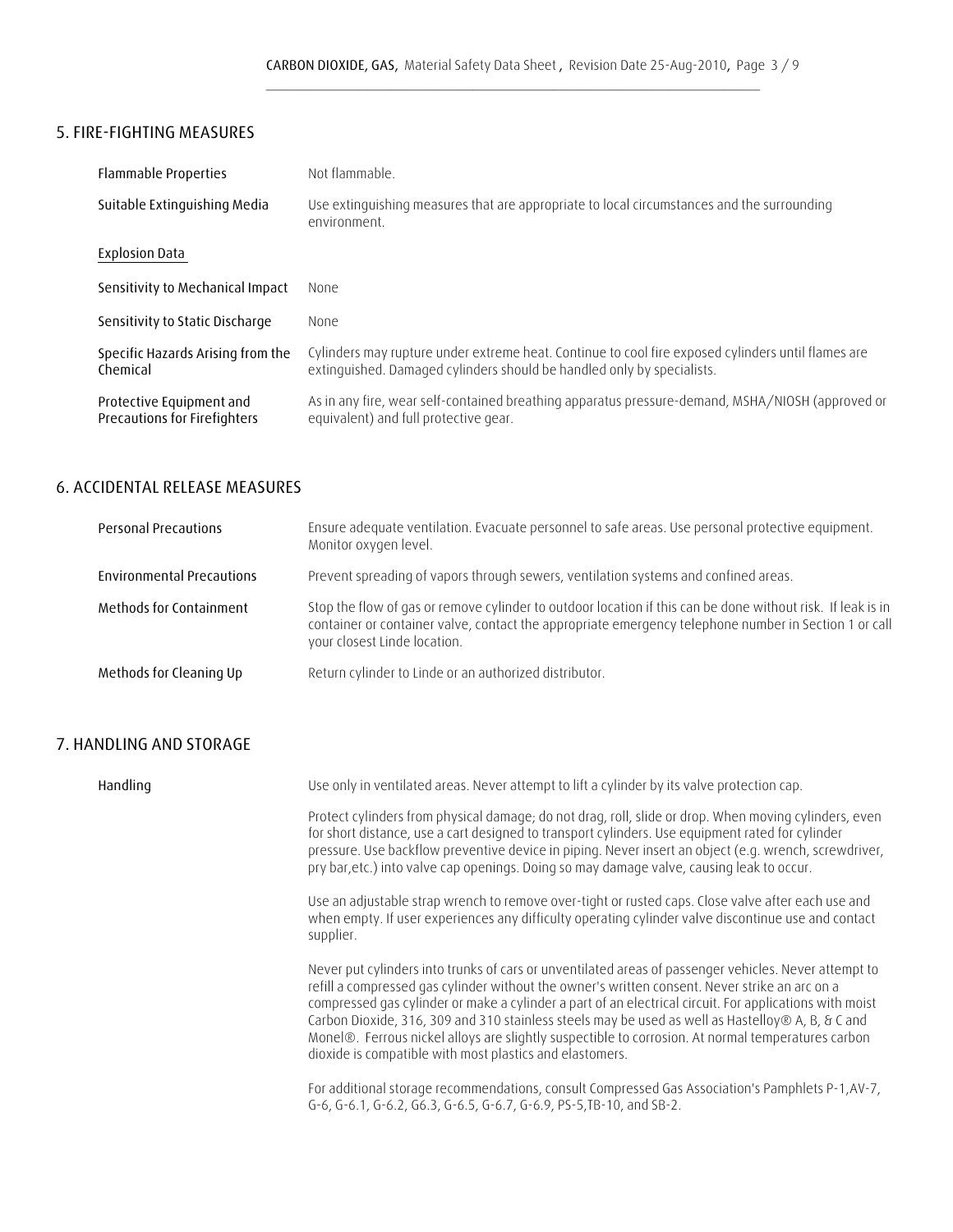## **5. FIRE-FIGHTING MEASURES**

| <b>Flammable Properties</b>                              | Not flammable                                                                                                                                                                |
|----------------------------------------------------------|------------------------------------------------------------------------------------------------------------------------------------------------------------------------------|
| Suitable Extinguishing Media                             | Use extinguishing measures that are appropriate to local circumstances and the surrounding<br>environment.                                                                   |
| <b>Explosion Data</b>                                    |                                                                                                                                                                              |
| Sensitivity to Mechanical Impact                         | None.                                                                                                                                                                        |
| Sensitivity to Static Discharge                          | None                                                                                                                                                                         |
| Specific Hazards Arising from the<br>Chemical            | Cylinders may rupture under extreme heat. Continue to cool fire exposed cylinders until flames are<br>extinguished. Damaged cylinders should be handled only by specialists. |
| Protective Equipment and<br>Precautions for Firefighters | As in any fire, wear self-contained breathing apparatus pressure-demand, MSHA/NIOSH (approved or<br>equivalent) and full protective gear.                                    |

### **6. ACCIDENTAL RELEASE MEASURES**

| <b>Personal Precautions</b>      | Ensure adequate ventilation. Evacuate personnel to safe areas. Use personal protective equipment.<br>Monitor oxygen level.                                                                                                                           |
|----------------------------------|------------------------------------------------------------------------------------------------------------------------------------------------------------------------------------------------------------------------------------------------------|
| <b>Environmental Precautions</b> | Prevent spreading of vapors through sewers, ventilation systems and confined areas.                                                                                                                                                                  |
| Methods for Containment          | Stop the flow of gas or remove cylinder to outdoor location if this can be done without risk. If leak is in<br>container or container valve, contact the appropriate emergency telephone number in Section 1 or call<br>your closest Linde location. |
| Methods for Cleaning Up          | Return cylinder to Linde or an authorized distributor.                                                                                                                                                                                               |

## **7. HANDLING AND STORAGE**

| Handling | Use only in ventilated areas. Never attempt to lift a cylinder by its valve protection cap.                                                                                                                                                                                                                                                                                                                                                                                                                                                                                               |
|----------|-------------------------------------------------------------------------------------------------------------------------------------------------------------------------------------------------------------------------------------------------------------------------------------------------------------------------------------------------------------------------------------------------------------------------------------------------------------------------------------------------------------------------------------------------------------------------------------------|
|          | Protect cylinders from physical damage; do not drag, roll, slide or drop. When moving cylinders, even<br>for short distance, use a cart designed to transport cylinders. Use equipment rated for cylinder<br>pressure. Use backflow preventive device in piping. Never insert an object (e.g. wrench, screwdriver,<br>pry bar, etc.) into valve cap openings. Doing so may damage valve, causing leak to occur.                                                                                                                                                                           |
|          | Use an adjustable strap wrench to remove over-tight or rusted caps. Close valve after each use and<br>when empty. If user experiences any difficulty operating cylinder valve discontinue use and contact<br>supplier.                                                                                                                                                                                                                                                                                                                                                                    |
|          | Never put cylinders into trunks of cars or unventilated areas of passenger vehicles. Never attempt to<br>refill a compressed gas cylinder without the owner's written consent. Never strike an arc on a<br>compressed gas cylinder or make a cylinder a part of an electrical circuit. For applications with moist<br>Carbon Dioxide, 316, 309 and 310 stainless steels may be used as well as Hastelloy® A, B, & C and<br>Monel®. Ferrous nickel alloys are slightly suspectible to corrosion. At normal temperatures carbon<br>dioxide is compatible with most plastics and elastomers. |
|          | For additional storage recommendations, consult Compressed Gas Association's Pamphlets P-1, AV-7,<br>G-6, G-6.1, G-6.2, G6.3, G-6.5, G-6.7, G-6.9, PS-5, TB-10, and SB-2.                                                                                                                                                                                                                                                                                                                                                                                                                 |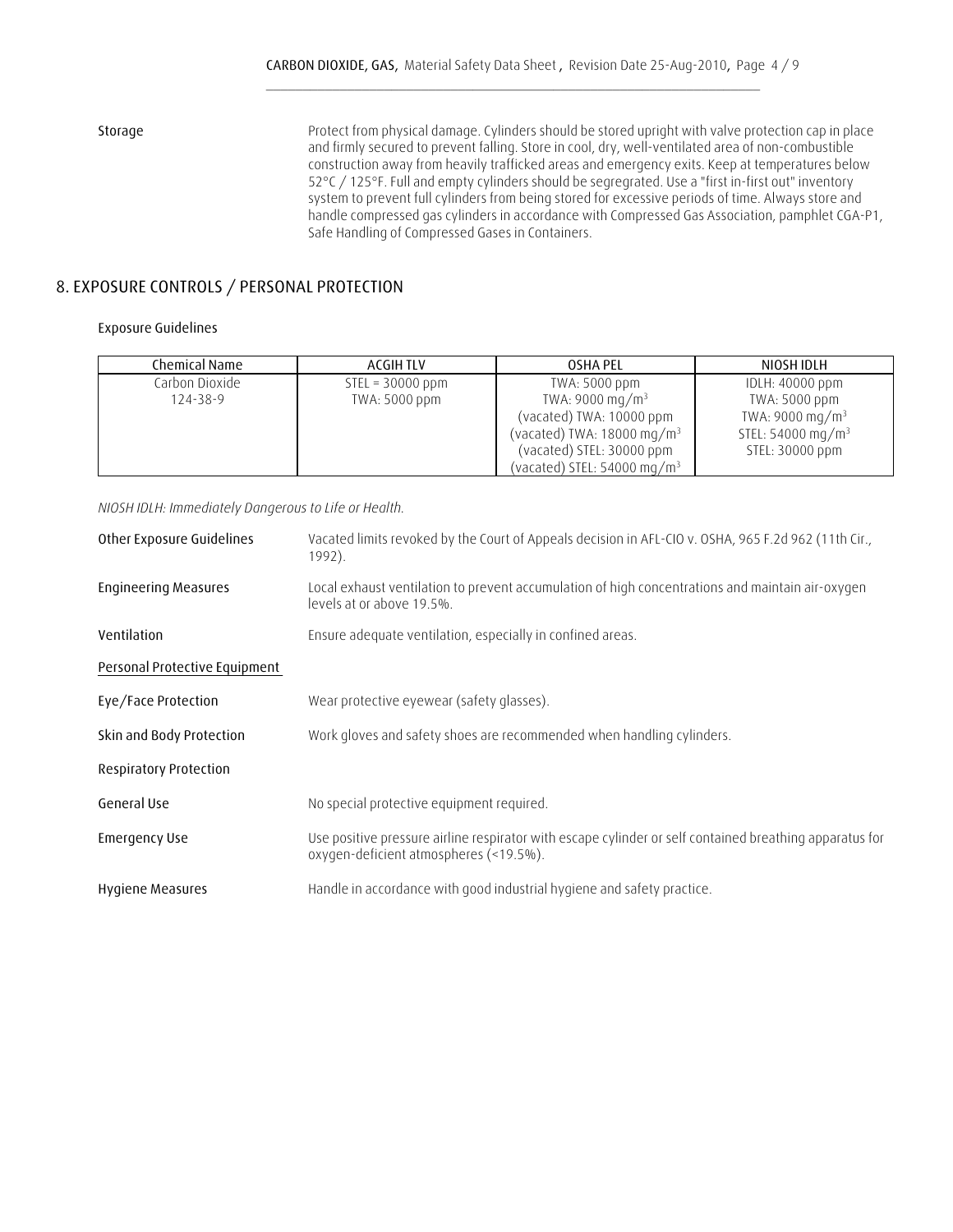**Storage** Protect from physical damage. Cylinders should be stored upright with valve protection cap in place and firmly secured to prevent falling. Store in cool, dry, well-ventilated area of non-combustible construction away from heavily trafficked areas and emergency exits. Keep at temperatures below 52°C / 125°F. Full and empty cylinders should be segregrated. Use a "first in-first out" inventory system to prevent full cylinders from being stored for excessive periods of time. Always store and handle compressed gas cylinders in accordance with Compressed Gas Association, pamphlet CGA-P1, Safe Handling of Compressed Gases in Containers.

### **8. EXPOSURE CONTROLS / PERSONAL PROTECTION**

#### **Exposure Guidelines**

| Chemical Name  | ACGIH TLV          | OSHA PEL                               | NIOSH IDLH                    |
|----------------|--------------------|----------------------------------------|-------------------------------|
| Carbon Dioxide | $STEL = 30000 ppm$ | TWA: 5000 ppm                          | IDLH: 40000 ppm               |
| 124-38-9       | TWA: 5000 ppm      | TWA: 9000 mg/m <sup>3</sup>            | TWA: 5000 ppm                 |
|                |                    | (vacated) TWA: 10000 ppm               | TWA: 9000 mg/m <sup>3</sup>   |
|                |                    | (vacated) TWA: 18000 mg/m <sup>3</sup> | STEL: 54000 mg/m <sup>3</sup> |
|                |                    | (vacated) STEL: 30000 ppm              | STEL: 30000 ppm               |
|                |                    | (vacated) STEL: $54000 \text{ mg/m}^3$ |                               |

 *NIOSH IDLH: Immediately Dangerous to Life or Health.*

| <b>Engineering Measures</b><br>levels at or above 19.5%.<br>Ensure adequate ventilation, especially in confined areas.<br>Ventilation<br>Personal Protective Equipment<br>Wear protective eyewear (safety glasses).<br>Eye/Face Protection<br>Work gloves and safety shoes are recommended when handling cylinders.<br>Skin and Body Protection<br><b>Respiratory Protection</b><br>General Use<br>No special protective equipment required.<br><b>Emergency Use</b><br>oxygen-deficient atmospheres (<19.5%).<br>Handle in accordance with good industrial hygiene and safety practice.<br>Hygiene Measures | Other Exposure Guidelines | Vacated limits revoked by the Court of Appeals decision in AFL-CIO v. OSHA, 965 F.2d 962 (11th Cir.,<br>1992). |
|--------------------------------------------------------------------------------------------------------------------------------------------------------------------------------------------------------------------------------------------------------------------------------------------------------------------------------------------------------------------------------------------------------------------------------------------------------------------------------------------------------------------------------------------------------------------------------------------------------------|---------------------------|----------------------------------------------------------------------------------------------------------------|
|                                                                                                                                                                                                                                                                                                                                                                                                                                                                                                                                                                                                              |                           | Local exhaust ventilation to prevent accumulation of high concentrations and maintain air-oxygen               |
|                                                                                                                                                                                                                                                                                                                                                                                                                                                                                                                                                                                                              |                           |                                                                                                                |
|                                                                                                                                                                                                                                                                                                                                                                                                                                                                                                                                                                                                              |                           |                                                                                                                |
|                                                                                                                                                                                                                                                                                                                                                                                                                                                                                                                                                                                                              |                           |                                                                                                                |
|                                                                                                                                                                                                                                                                                                                                                                                                                                                                                                                                                                                                              |                           |                                                                                                                |
|                                                                                                                                                                                                                                                                                                                                                                                                                                                                                                                                                                                                              |                           |                                                                                                                |
|                                                                                                                                                                                                                                                                                                                                                                                                                                                                                                                                                                                                              |                           |                                                                                                                |
|                                                                                                                                                                                                                                                                                                                                                                                                                                                                                                                                                                                                              |                           | Use positive pressure airline respirator with escape cylinder or self contained breathing apparatus for        |
|                                                                                                                                                                                                                                                                                                                                                                                                                                                                                                                                                                                                              |                           |                                                                                                                |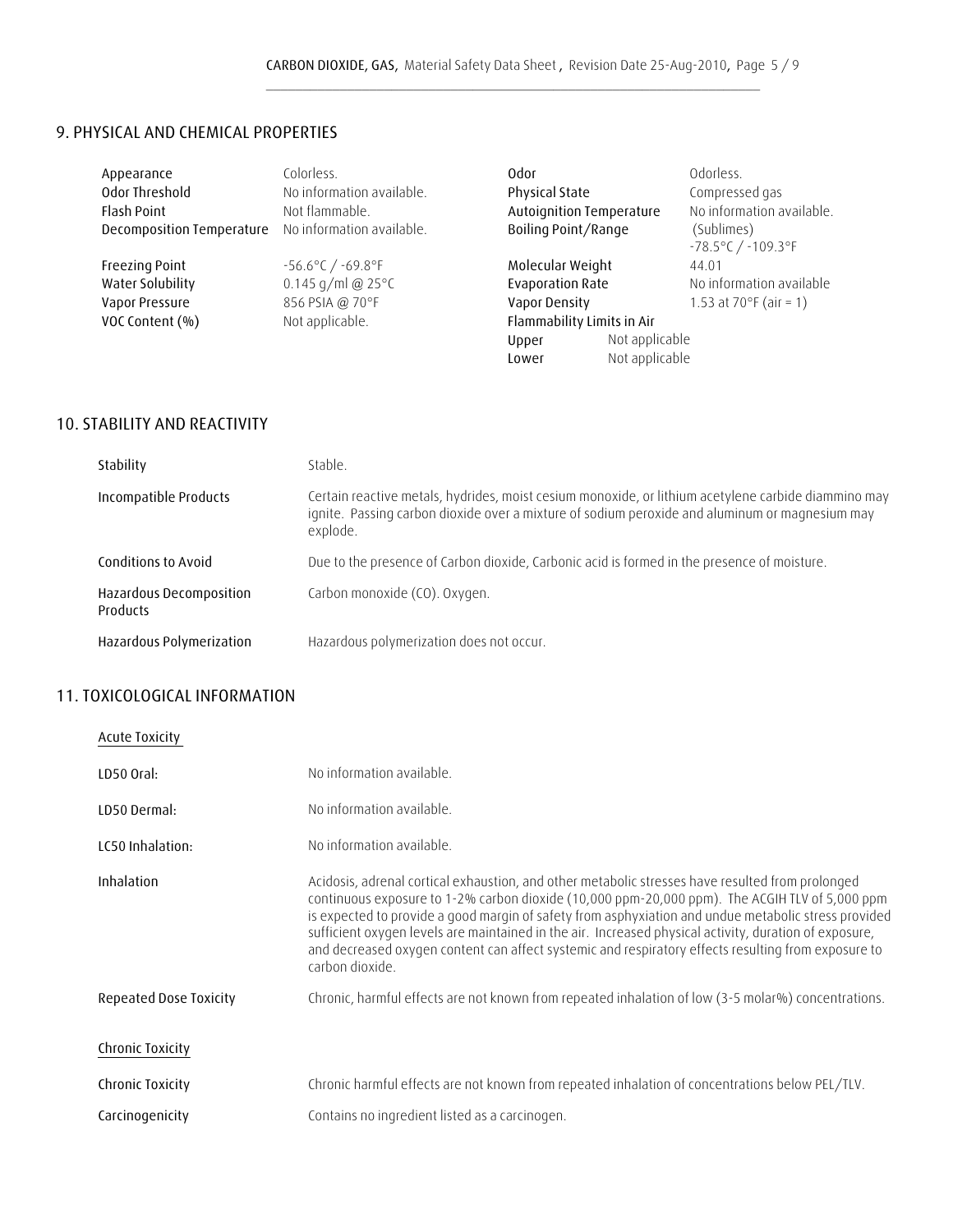### **9. PHYSICAL AND CHEMICAL PROPERTIES**

| Appearance                | Colorless.                            | 0dor                       |                | Odorless.                                            |
|---------------------------|---------------------------------------|----------------------------|----------------|------------------------------------------------------|
| Odor Threshold            | No information available.             | Physical State             |                | Compressed gas                                       |
| <b>Flash Point</b>        | Not flammable.                        | Autoignition Temperature   |                | No information available.                            |
| Decomposition Temperature | No information available.             | Boiling Point/Range        |                | (Sublimes)<br>$-78.5^{\circ}$ C / $-109.3^{\circ}$ F |
| <b>Freezing Point</b>     | $-56.6^{\circ}$ C / $-69.8^{\circ}$ F | Molecular Weight           |                | 44.01                                                |
| Water Solubility          | 0.145 g/ml @ $25^{\circ}$ C           | <b>Evaporation Rate</b>    |                | No information available                             |
| Vapor Pressure            | 856 PSIA @ 70°F                       | Vapor Density              |                | 1.53 at 70 $\degree$ F (air = 1)                     |
| VOC Content (%)           | Not applicable.                       | Flammability Limits in Air |                |                                                      |
|                           |                                       | Upper                      | Not applicable |                                                      |
|                           |                                       | Lower                      | Not applicable |                                                      |

### **10. STABILITY AND REACTIVITY**

| Stability                                  | Stable.                                                                                                                                                                                                           |
|--------------------------------------------|-------------------------------------------------------------------------------------------------------------------------------------------------------------------------------------------------------------------|
| Incompatible Products                      | Certain reactive metals, hydrides, moist cesium monoxide, or lithium acetylene carbide diammino may<br>ignite. Passing carbon dioxide over a mixture of sodium peroxide and aluminum or magnesium may<br>explode. |
| Conditions to Avoid                        | Due to the presence of Carbon dioxide, Carbonic acid is formed in the presence of moisture.                                                                                                                       |
| Hazardous Decomposition<br><b>Products</b> | Carbon monoxide (CO). Oxygen.                                                                                                                                                                                     |
| Hazardous Polymerization                   | Hazardous polymerization does not occur.                                                                                                                                                                          |

### **11. TOXICOLOGICAL INFORMATION**

| <b>Acute Toxicity</b>         |                                                                                                                                                                                                                                                                                                                                                                                                                                                                                                                                                |
|-------------------------------|------------------------------------------------------------------------------------------------------------------------------------------------------------------------------------------------------------------------------------------------------------------------------------------------------------------------------------------------------------------------------------------------------------------------------------------------------------------------------------------------------------------------------------------------|
| LD50 Oral:                    | No information available.                                                                                                                                                                                                                                                                                                                                                                                                                                                                                                                      |
| LD50 Dermal:                  | No information available.                                                                                                                                                                                                                                                                                                                                                                                                                                                                                                                      |
| LC50 Inhalation:              | No information available.                                                                                                                                                                                                                                                                                                                                                                                                                                                                                                                      |
| Inhalation                    | Acidosis, adrenal cortical exhaustion, and other metabolic stresses have resulted from prolonged<br>continuous exposure to 1-2% carbon dioxide (10,000 ppm-20,000 ppm). The ACGIH TLV of 5,000 ppm<br>is expected to provide a good margin of safety from asphyxiation and undue metabolic stress provided<br>sufficient oxygen levels are maintained in the air. Increased physical activity, duration of exposure,<br>and decreased oxygen content can affect systemic and respiratory effects resulting from exposure to<br>carbon dioxide. |
| <b>Repeated Dose Toxicity</b> | Chronic, harmful effects are not known from repeated inhalation of low (3-5 molar%) concentrations.                                                                                                                                                                                                                                                                                                                                                                                                                                            |
| Chronic Toxicity              |                                                                                                                                                                                                                                                                                                                                                                                                                                                                                                                                                |
| Chronic Toxicity              | Chronic harmful effects are not known from repeated inhalation of concentrations below PEL/TLV.                                                                                                                                                                                                                                                                                                                                                                                                                                                |
| Carcinogenicity               | Contains no ingredient listed as a carcinogen.                                                                                                                                                                                                                                                                                                                                                                                                                                                                                                 |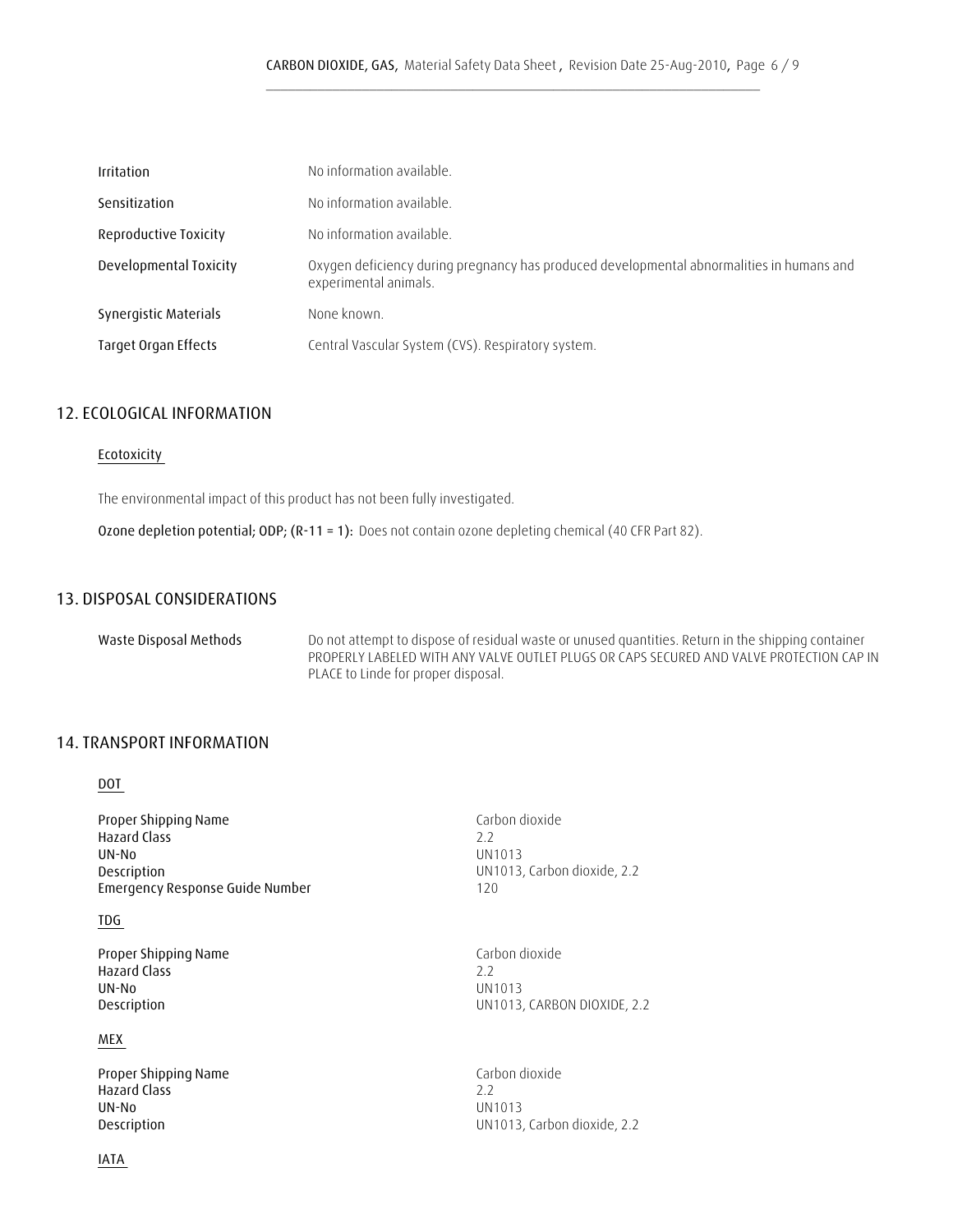| <b>Irritation</b>      | No information available.                                                                                          |
|------------------------|--------------------------------------------------------------------------------------------------------------------|
| Sensitization          | No information available.                                                                                          |
| Reproductive Toxicity  | No information available.                                                                                          |
| Developmental Toxicity | Oxygen deficiency during pregnancy has produced developmental abnormalities in humans and<br>experimental animals. |
| Synergistic Materials  | None known.                                                                                                        |
| Target Organ Effects   | Central Vascular System (CVS). Respiratory system.                                                                 |

### **12. ECOLOGICAL INFORMATION**

#### **Ecotoxicity**

The environmental impact of this product has not been fully investigated.

 **Ozone depletion potential; ODP; (R-11 = 1):** Does not contain ozone depleting chemical (40 CFR Part 82).

### **13. DISPOSAL CONSIDERATIONS**

| Waste Disposal Methods | Do not attempt to dispose of residual waste or unused quantities. Return in the shipping container |
|------------------------|----------------------------------------------------------------------------------------------------|
|                        | PROPERLY LABELED WITH ANY VALVE OUTLET PLUGS OR CAPS SECURED AND VALVE PROTECTION CAP IN           |
|                        | PLACE to Linde for proper disposal.                                                                |

### **14. TRANSPORT INFORMATION**

 **DOT** 

**Proper Shipping Name** Carbon dioxide<br> **Hazard Class** 2.2 **Hazard Class UN-No** UN1013 **Description**<br> **Emergency Response Guide Number**<br>
120<br>
120 **Emergency Response Guide Number** 

### **TDG**

**Proper Shipping Name Carbon dioxide Hazard Class** 2.2<br> **UN-No** 2.2<br> **UN-No** 2.2  **UN-No** UN1013

#### **MEX**

**Proper Shipping Name** Carbon dioxide<br> **Hazard Class**2.2 **Hazard Class UN-No** UN1013

 **IATA** 

 **Description** UN1013, CARBON DIOXIDE, 2.2

 **Description** UN1013, Carbon dioxide, 2.2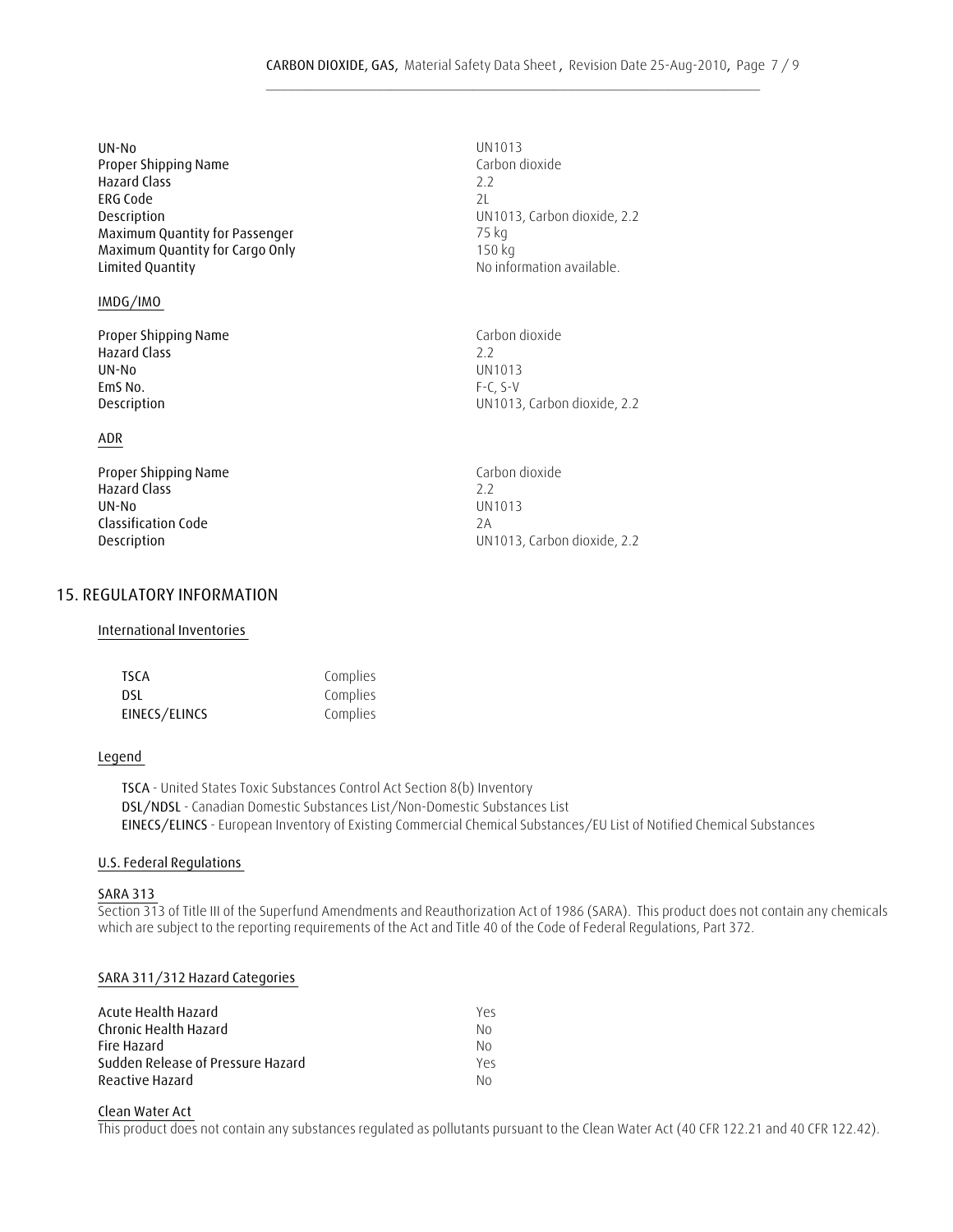| UN-No                           | UN1013   |
|---------------------------------|----------|
| Proper Shipping Name            | Carbon o |
| <b>Hazard Class</b>             | 22       |
| ERG Code                        | 21       |
| Description                     | UN1013   |
| Maximum Quantity for Passenger  | 75 kg    |
| Maximum Quantity for Cargo Only | 150 kg   |
| Limited Quantity                | No infor |
|                                 |          |

#### **IMDG/IMO**

**Proper Shipping Name Carbon dioxide Hazard Class** 2.2  **UN-No** UN1013  **EmS No.** F-C, S-V

#### **ADR**

**Proper Shipping Name Carbon dioxide Hazard Class** 2.2<br> **COMPOSE 2.2**<br> **COMPOSE 2.2**<br> **COMPOSE 2.2 UN-No** UN1013  **Classification Code** 2A

#### **15. REGULATORY INFORMATION**

#### **International Inventories**

| <b>TSCA</b>   | Complies |
|---------------|----------|
| DSL           | Complies |
| EINECS/ELINCS | Complies |

#### **Legend**

 **DSL/NDSL** - Canadian Domestic Substances List/Non-Domestic Substances List  **EINECS/ELINCS** - European Inventory of Existing Commercial Chemical Substances/EU List of Notified Chemical Substances  **TSCA** - United States Toxic Substances Control Act Section 8(b) Inventory

#### **U.S. Federal Regulations**

#### **SARA 313**

Section 313 of Title III of the Superfund Amendments and Reauthorization Act of 1986 (SARA). This product does not contain any chemicals which are subject to the reporting requirements of the Act and Title 40 of the Code of Federal Regulations, Part 372.

#### **SARA 311/312 Hazard Categories**

| Acute Health Hazard               | Yeς |
|-----------------------------------|-----|
| Chronic Health Hazard             | No. |
| Fire Hazard                       | No. |
| Sudden Release of Pressure Hazard | Yρς |
| Reactive Hazard                   | No. |

#### **Clean Water Act**

This product does not contain any substances regulated as pollutants pursuant to the Clean Water Act (40 CFR 122.21 and 40 CFR 122.42).

Carbon dioxide<br>2.2  **Description** UN1013, Carbon dioxide, 2.2 No information available.

 **Description** UN1013, Carbon dioxide, 2.2

**Description Description Description Description UN1013**, Carbon dioxide, 2.2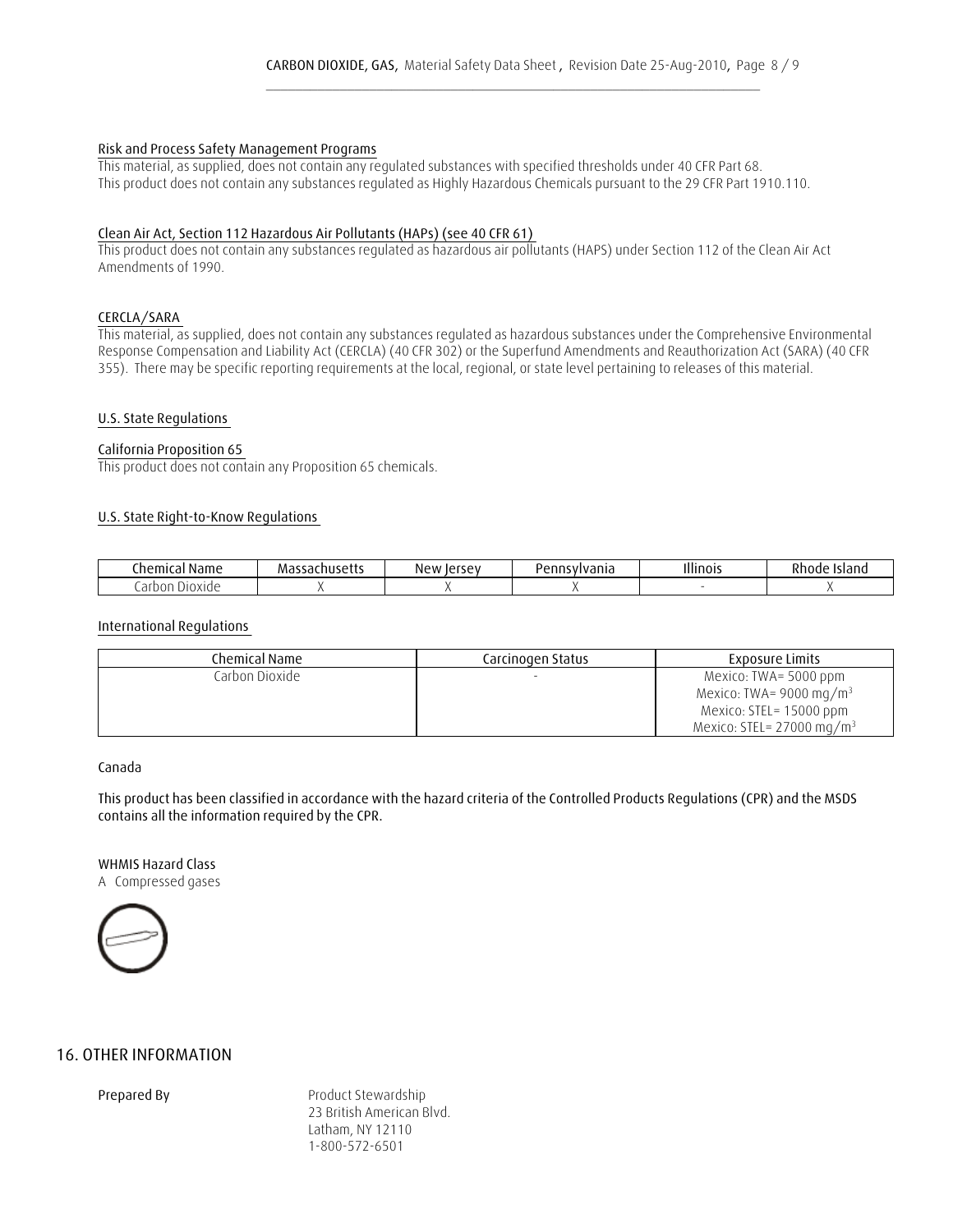#### **Risk and Process Safety Management Programs**

This material, as supplied, does not contain any regulated substances with specified thresholds under 40 CFR Part 68. This product does not contain any substances regulated as Highly Hazardous Chemicals pursuant to the 29 CFR Part 1910.110.

#### **Clean Air Act, Section 112 Hazardous Air Pollutants (HAPs) (see 40 CFR 61)**

This product does not contain any substances regulated as hazardous air pollutants (HAPS) under Section 112 of the Clean Air Act Amendments of 1990.

#### **CERCLA/SARA**

This material, as supplied, does not contain any substances regulated as hazardous substances under the Comprehensive Environmental Response Compensation and Liability Act (CERCLA) (40 CFR 302) or the Superfund Amendments and Reauthorization Act (SARA) (40 CFR 355). There may be specific reporting requirements at the local, regional, or state level pertaining to releases of this material.

#### **U.S. State Regulations**

#### **California Proposition 65**

This product does not contain any Proposition 65 chemicals.

#### **U.S. State Right-to-Know Regulations**

| .hemical<br>$\sim$<br><b>Ndilit</b> | мa<br>ÒС.<br>יי יוטאכניי | New<br>lersey<br>. | vdilid<br><b>CIII</b> | Illinois | 71.<br>70<br>тыанс |
|-------------------------------------|--------------------------|--------------------|-----------------------|----------|--------------------|
| аr<br>IUXIUE<br>,,,                 |                          |                    |                       |          |                    |

#### **International Regulations**

| Chemical Name    | Carcinogen Status | <b>Exposure Limits</b>               |
|------------------|-------------------|--------------------------------------|
| Carbon Dioxide I |                   | Mexico: TWA= 5000 ppm                |
|                  |                   | Mexico: TWA= 9000 mg/m <sup>3</sup>  |
|                  |                   | Mexico: STEL= 15000 ppm              |
|                  |                   | Mexico: STEL= $27000 \text{ mg/m}^3$ |

#### **Canada**

 **This product has been classified in accordance with the hazard criteria of the Controlled Products Regulations (CPR) and the MSDS contains all the information required by the CPR.**

### **WHMIS Hazard Class**

A Compressed gases



### **16. OTHER INFORMATION**

**Prepared By** Product Stewardship 23 British American Blvd. Latham, NY 12110 1-800-572-6501